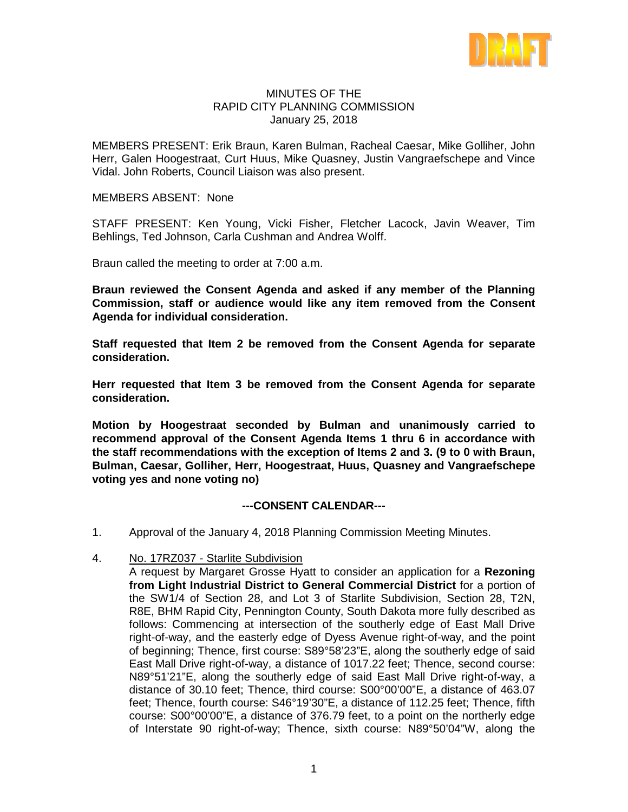

#### MINUTES OF THE RAPID CITY PLANNING COMMISSION January 25, 2018

MEMBERS PRESENT: Erik Braun, Karen Bulman, Racheal Caesar, Mike Golliher, John Herr, Galen Hoogestraat, Curt Huus, Mike Quasney, Justin Vangraefschepe and Vince Vidal. John Roberts, Council Liaison was also present.

MEMBERS ABSENT: None

STAFF PRESENT: Ken Young, Vicki Fisher, Fletcher Lacock, Javin Weaver, Tim Behlings, Ted Johnson, Carla Cushman and Andrea Wolff.

Braun called the meeting to order at 7:00 a.m.

**Braun reviewed the Consent Agenda and asked if any member of the Planning Commission, staff or audience would like any item removed from the Consent Agenda for individual consideration.**

**Staff requested that Item 2 be removed from the Consent Agenda for separate consideration.**

**Herr requested that Item 3 be removed from the Consent Agenda for separate consideration.**

**Motion by Hoogestraat seconded by Bulman and unanimously carried to recommend approval of the Consent Agenda Items 1 thru 6 in accordance with the staff recommendations with the exception of Items 2 and 3. (9 to 0 with Braun, Bulman, Caesar, Golliher, Herr, Hoogestraat, Huus, Quasney and Vangraefschepe voting yes and none voting no)**

#### **---CONSENT CALENDAR---**

- 1. Approval of the January 4, 2018 Planning Commission Meeting Minutes.
- 4. No. 17RZ037 Starlite Subdivision

A request by Margaret Grosse Hyatt to consider an application for a **Rezoning from Light Industrial District to General Commercial District** for a portion of the SW1/4 of Section 28, and Lot 3 of Starlite Subdivision, Section 28, T2N, R8E, BHM Rapid City, Pennington County, South Dakota more fully described as follows: Commencing at intersection of the southerly edge of East Mall Drive right-of-way, and the easterly edge of Dyess Avenue right-of-way, and the point of beginning; Thence, first course: S89°58'23"E, along the southerly edge of said East Mall Drive right-of-way, a distance of 1017.22 feet; Thence, second course: N89°51'21"E, along the southerly edge of said East Mall Drive right-of-way, a distance of 30.10 feet; Thence, third course: S00°00'00"E, a distance of 463.07 feet; Thence, fourth course: S46°19'30"E, a distance of 112.25 feet; Thence, fifth course: S00°00'00"E, a distance of 376.79 feet, to a point on the northerly edge of Interstate 90 right-of-way; Thence, sixth course: N89°50'04"W, along the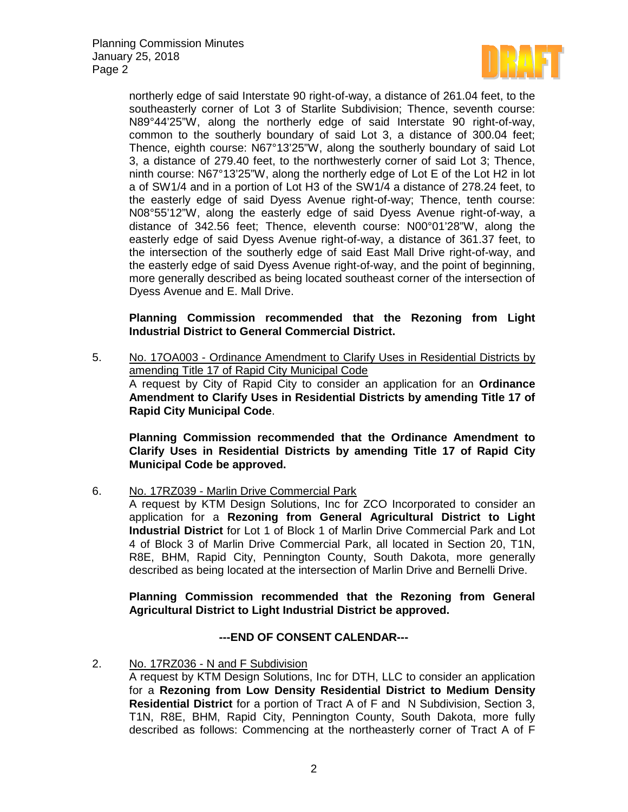Planning Commission Minutes January 25, 2018 Page 2



northerly edge of said Interstate 90 right-of-way, a distance of 261.04 feet, to the southeasterly corner of Lot 3 of Starlite Subdivision; Thence, seventh course: N89°44'25"W, along the northerly edge of said Interstate 90 right-of-way, common to the southerly boundary of said Lot 3, a distance of 300.04 feet; Thence, eighth course: N67°13'25"W, along the southerly boundary of said Lot 3, a distance of 279.40 feet, to the northwesterly corner of said Lot 3; Thence, ninth course: N67°13'25"W, along the northerly edge of Lot E of the Lot H2 in lot a of SW1/4 and in a portion of Lot H3 of the SW1/4 a distance of 278.24 feet, to the easterly edge of said Dyess Avenue right-of-way; Thence, tenth course: N08°55'12"W, along the easterly edge of said Dyess Avenue right-of-way, a distance of 342.56 feet; Thence, eleventh course: N00°01'28"W, along the easterly edge of said Dyess Avenue right-of-way, a distance of 361.37 feet, to the intersection of the southerly edge of said East Mall Drive right-of-way, and the easterly edge of said Dyess Avenue right-of-way, and the point of beginning, more generally described as being located southeast corner of the intersection of Dyess Avenue and E. Mall Drive.

# **Planning Commission recommended that the Rezoning from Light Industrial District to General Commercial District.**

5. No. 17OA003 - Ordinance Amendment to Clarify Uses in Residential Districts by amending Title 17 of Rapid City Municipal Code A request by City of Rapid City to consider an application for an **Ordinance Amendment to Clarify Uses in Residential Districts by amending Title 17 of Rapid City Municipal Code**.

**Planning Commission recommended that the Ordinance Amendment to Clarify Uses in Residential Districts by amending Title 17 of Rapid City Municipal Code be approved.**

6. No. 17RZ039 - Marlin Drive Commercial Park

A request by KTM Design Solutions, Inc for ZCO Incorporated to consider an application for a **Rezoning from General Agricultural District to Light Industrial District** for Lot 1 of Block 1 of Marlin Drive Commercial Park and Lot 4 of Block 3 of Marlin Drive Commercial Park, all located in Section 20, T1N, R8E, BHM, Rapid City, Pennington County, South Dakota, more generally described as being located at the intersection of Marlin Drive and Bernelli Drive.

**Planning Commission recommended that the Rezoning from General Agricultural District to Light Industrial District be approved.**

# **---END OF CONSENT CALENDAR---**

2. No. 17RZ036 - N and F Subdivision

A request by KTM Design Solutions, Inc for DTH, LLC to consider an application for a **Rezoning from Low Density Residential District to Medium Density Residential District** for a portion of Tract A of F and N Subdivision, Section 3, T1N, R8E, BHM, Rapid City, Pennington County, South Dakota, more fully described as follows: Commencing at the northeasterly corner of Tract A of F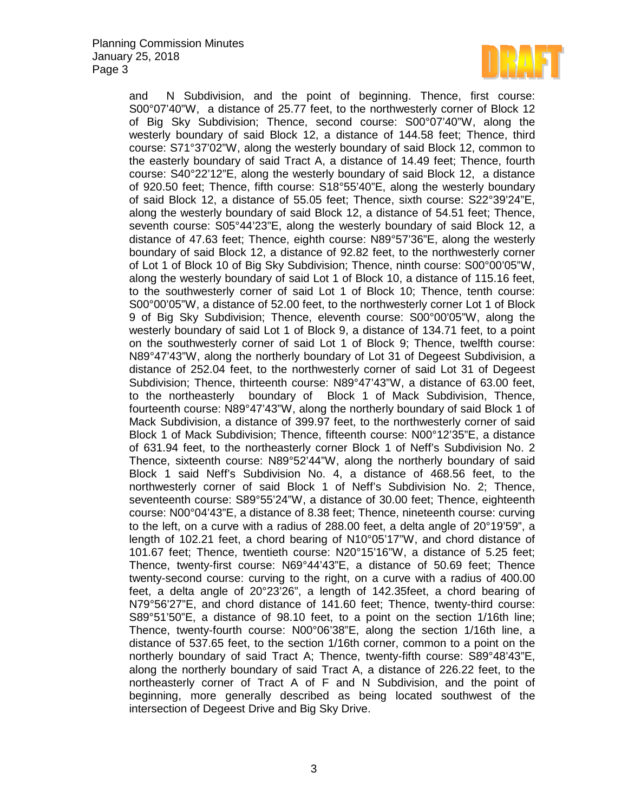

and N Subdivision, and the point of beginning. Thence, first course: S00°07'40"W, a distance of 25.77 feet, to the northwesterly corner of Block 12 of Big Sky Subdivision; Thence, second course: S00°07'40"W, along the westerly boundary of said Block 12, a distance of 144.58 feet; Thence, third course: S71°37'02"W, along the westerly boundary of said Block 12, common to the easterly boundary of said Tract A, a distance of 14.49 feet; Thence, fourth course: S40°22'12"E, along the westerly boundary of said Block 12, a distance of 920.50 feet; Thence, fifth course: S18°55'40"E, along the westerly boundary of said Block 12, a distance of 55.05 feet; Thence, sixth course: S22°39'24"E, along the westerly boundary of said Block 12, a distance of 54.51 feet; Thence, seventh course: S05°44'23"E, along the westerly boundary of said Block 12, a distance of 47.63 feet; Thence, eighth course: N89°57'36"E, along the westerly boundary of said Block 12, a distance of 92.82 feet, to the northwesterly corner of Lot 1 of Block 10 of Big Sky Subdivision; Thence, ninth course: S00°00'05"W, along the westerly boundary of said Lot 1 of Block 10, a distance of 115.16 feet, to the southwesterly corner of said Lot 1 of Block 10; Thence, tenth course: S00°00'05"W, a distance of 52.00 feet, to the northwesterly corner Lot 1 of Block 9 of Big Sky Subdivision; Thence, eleventh course: S00°00'05"W, along the westerly boundary of said Lot 1 of Block 9, a distance of 134.71 feet, to a point on the southwesterly corner of said Lot 1 of Block 9; Thence, twelfth course: N89°47'43"W, along the northerly boundary of Lot 31 of Degeest Subdivision, a distance of 252.04 feet, to the northwesterly corner of said Lot 31 of Degeest Subdivision; Thence, thirteenth course: N89°47'43"W, a distance of 63.00 feet, to the northeasterly boundary of Block 1 of Mack Subdivision, Thence, fourteenth course: N89°47'43"W, along the northerly boundary of said Block 1 of Mack Subdivision, a distance of 399.97 feet, to the northwesterly corner of said Block 1 of Mack Subdivision; Thence, fifteenth course: N00°12'35"E, a distance of 631.94 feet, to the northeasterly corner Block 1 of Neff's Subdivision No. 2 Thence, sixteenth course: N89°52'44"W, along the northerly boundary of said Block 1 said Neff's Subdivision No. 4, a distance of 468.56 feet, to the northwesterly corner of said Block 1 of Neff's Subdivision No. 2; Thence, seventeenth course: S89°55'24"W, a distance of 30.00 feet; Thence, eighteenth course: N00°04'43"E, a distance of 8.38 feet; Thence, nineteenth course: curving to the left, on a curve with a radius of 288.00 feet, a delta angle of 20°19'59", a length of 102.21 feet, a chord bearing of N10°05'17"W, and chord distance of 101.67 feet; Thence, twentieth course: N20°15'16"W, a distance of 5.25 feet; Thence, twenty-first course: N69°44'43"E, a distance of 50.69 feet; Thence twenty-second course: curving to the right, on a curve with a radius of 400.00 feet, a delta angle of 20°23'26", a length of 142.35feet, a chord bearing of N79°56'27"E, and chord distance of 141.60 feet; Thence, twenty-third course: S89°51'50"E, a distance of 98.10 feet, to a point on the section 1/16th line; Thence, twenty-fourth course: N00°06'38"E, along the section 1/16th line, a distance of 537.65 feet, to the section 1/16th corner, common to a point on the northerly boundary of said Tract A; Thence, twenty-fifth course: S89°48'43"E, along the northerly boundary of said Tract A, a distance of 226.22 feet, to the northeasterly corner of Tract A of F and N Subdivision, and the point of beginning, more generally described as being located southwest of the intersection of Degeest Drive and Big Sky Drive.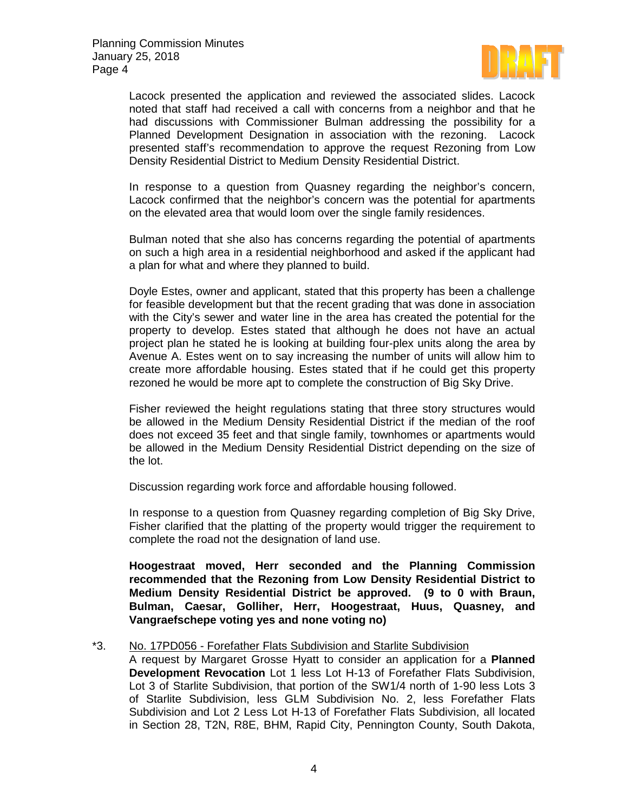

Lacock presented the application and reviewed the associated slides. Lacock noted that staff had received a call with concerns from a neighbor and that he had discussions with Commissioner Bulman addressing the possibility for a Planned Development Designation in association with the rezoning. Lacock presented staff's recommendation to approve the request Rezoning from Low Density Residential District to Medium Density Residential District.

In response to a question from Quasney regarding the neighbor's concern, Lacock confirmed that the neighbor's concern was the potential for apartments on the elevated area that would loom over the single family residences.

Bulman noted that she also has concerns regarding the potential of apartments on such a high area in a residential neighborhood and asked if the applicant had a plan for what and where they planned to build.

Doyle Estes, owner and applicant, stated that this property has been a challenge for feasible development but that the recent grading that was done in association with the City's sewer and water line in the area has created the potential for the property to develop. Estes stated that although he does not have an actual project plan he stated he is looking at building four-plex units along the area by Avenue A. Estes went on to say increasing the number of units will allow him to create more affordable housing. Estes stated that if he could get this property rezoned he would be more apt to complete the construction of Big Sky Drive.

Fisher reviewed the height regulations stating that three story structures would be allowed in the Medium Density Residential District if the median of the roof does not exceed 35 feet and that single family, townhomes or apartments would be allowed in the Medium Density Residential District depending on the size of the lot.

Discussion regarding work force and affordable housing followed.

In response to a question from Quasney regarding completion of Big Sky Drive, Fisher clarified that the platting of the property would trigger the requirement to complete the road not the designation of land use.

**Hoogestraat moved, Herr seconded and the Planning Commission recommended that the Rezoning from Low Density Residential District to Medium Density Residential District be approved. (9 to 0 with Braun, Bulman, Caesar, Golliher, Herr, Hoogestraat, Huus, Quasney, and Vangraefschepe voting yes and none voting no)**

#### \*3. No. 17PD056 - Forefather Flats Subdivision and Starlite Subdivision

A request by Margaret Grosse Hyatt to consider an application for a **Planned Development Revocation** Lot 1 less Lot H-13 of Forefather Flats Subdivision, Lot 3 of Starlite Subdivision, that portion of the SW1/4 north of 1-90 less Lots 3 of Starlite Subdivision, less GLM Subdivision No. 2, less Forefather Flats Subdivision and Lot 2 Less Lot H-13 of Forefather Flats Subdivision, all located in Section 28, T2N, R8E, BHM, Rapid City, Pennington County, South Dakota,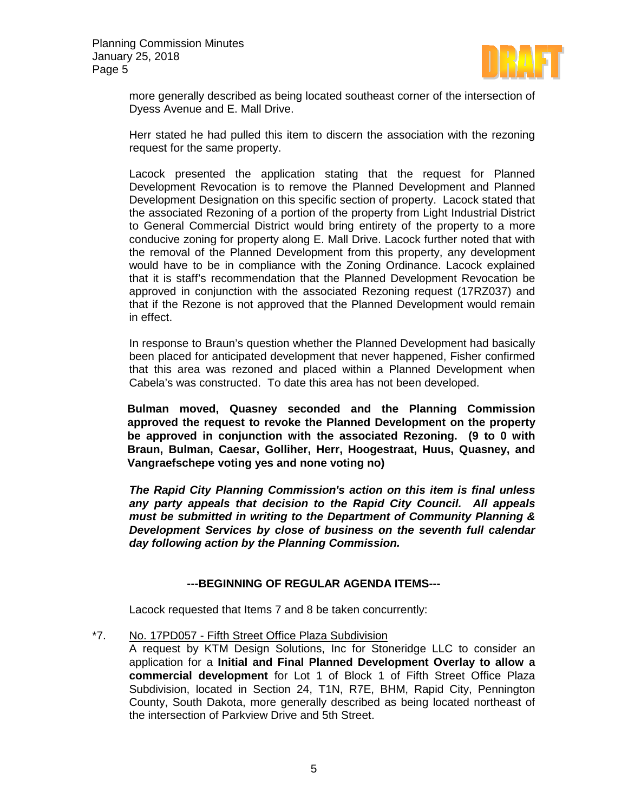

more generally described as being located southeast corner of the intersection of Dyess Avenue and E. Mall Drive.

Herr stated he had pulled this item to discern the association with the rezoning request for the same property.

Lacock presented the application stating that the request for Planned Development Revocation is to remove the Planned Development and Planned Development Designation on this specific section of property. Lacock stated that the associated Rezoning of a portion of the property from Light Industrial District to General Commercial District would bring entirety of the property to a more conducive zoning for property along E. Mall Drive. Lacock further noted that with the removal of the Planned Development from this property, any development would have to be in compliance with the Zoning Ordinance. Lacock explained that it is staff's recommendation that the Planned Development Revocation be approved in conjunction with the associated Rezoning request (17RZ037) and that if the Rezone is not approved that the Planned Development would remain in effect.

In response to Braun's question whether the Planned Development had basically been placed for anticipated development that never happened, Fisher confirmed that this area was rezoned and placed within a Planned Development when Cabela's was constructed. To date this area has not been developed.

**Bulman moved, Quasney seconded and the Planning Commission approved the request to revoke the Planned Development on the property be approved in conjunction with the associated Rezoning. (9 to 0 with Braun, Bulman, Caesar, Golliher, Herr, Hoogestraat, Huus, Quasney, and Vangraefschepe voting yes and none voting no)**

*The Rapid City Planning Commission's action on this item is final unless any party appeals that decision to the Rapid City Council. All appeals must be submitted in writing to the Department of Community Planning & Development Services by close of business on the seventh full calendar day following action by the Planning Commission.*

# **---BEGINNING OF REGULAR AGENDA ITEMS---**

Lacock requested that Items 7 and 8 be taken concurrently:

\*7. No. 17PD057 - Fifth Street Office Plaza Subdivision

A request by KTM Design Solutions, Inc for Stoneridge LLC to consider an application for a **Initial and Final Planned Development Overlay to allow a commercial development** for Lot 1 of Block 1 of Fifth Street Office Plaza Subdivision, located in Section 24, T1N, R7E, BHM, Rapid City, Pennington County, South Dakota, more generally described as being located northeast of the intersection of Parkview Drive and 5th Street.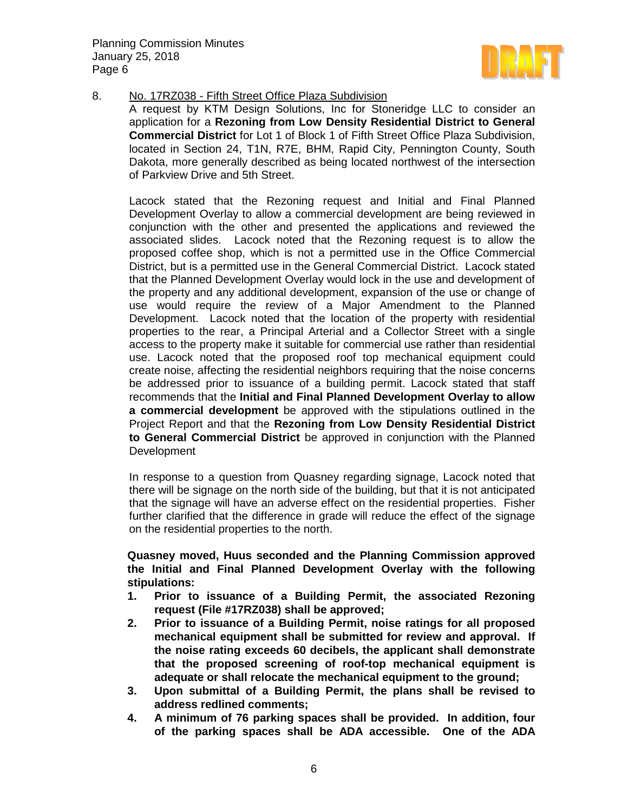

#### 8. No. 17RZ038 - Fifth Street Office Plaza Subdivision

A request by KTM Design Solutions, Inc for Stoneridge LLC to consider an application for a **Rezoning from Low Density Residential District to General Commercial District** for Lot 1 of Block 1 of Fifth Street Office Plaza Subdivision, located in Section 24, T1N, R7E, BHM, Rapid City, Pennington County, South Dakota, more generally described as being located northwest of the intersection of Parkview Drive and 5th Street.

Lacock stated that the Rezoning request and Initial and Final Planned Development Overlay to allow a commercial development are being reviewed in conjunction with the other and presented the applications and reviewed the associated slides. Lacock noted that the Rezoning request is to allow the proposed coffee shop, which is not a permitted use in the Office Commercial District, but is a permitted use in the General Commercial District. Lacock stated that the Planned Development Overlay would lock in the use and development of the property and any additional development, expansion of the use or change of use would require the review of a Major Amendment to the Planned Development. Lacock noted that the location of the property with residential properties to the rear, a Principal Arterial and a Collector Street with a single access to the property make it suitable for commercial use rather than residential use. Lacock noted that the proposed roof top mechanical equipment could create noise, affecting the residential neighbors requiring that the noise concerns be addressed prior to issuance of a building permit. Lacock stated that staff recommends that the **Initial and Final Planned Development Overlay to allow a commercial development** be approved with the stipulations outlined in the Project Report and that the **Rezoning from Low Density Residential District to General Commercial District** be approved in conjunction with the Planned **Development** 

In response to a question from Quasney regarding signage, Lacock noted that there will be signage on the north side of the building, but that it is not anticipated that the signage will have an adverse effect on the residential properties. Fisher further clarified that the difference in grade will reduce the effect of the signage on the residential properties to the north.

**Quasney moved, Huus seconded and the Planning Commission approved the Initial and Final Planned Development Overlay with the following stipulations:**

- **1. Prior to issuance of a Building Permit, the associated Rezoning request (File #17RZ038) shall be approved;**
- **2. Prior to issuance of a Building Permit, noise ratings for all proposed mechanical equipment shall be submitted for review and approval. If the noise rating exceeds 60 decibels, the applicant shall demonstrate that the proposed screening of roof-top mechanical equipment is adequate or shall relocate the mechanical equipment to the ground;**
- **3. Upon submittal of a Building Permit, the plans shall be revised to address redlined comments;**
- **4. A minimum of 76 parking spaces shall be provided. In addition, four of the parking spaces shall be ADA accessible. One of the ADA**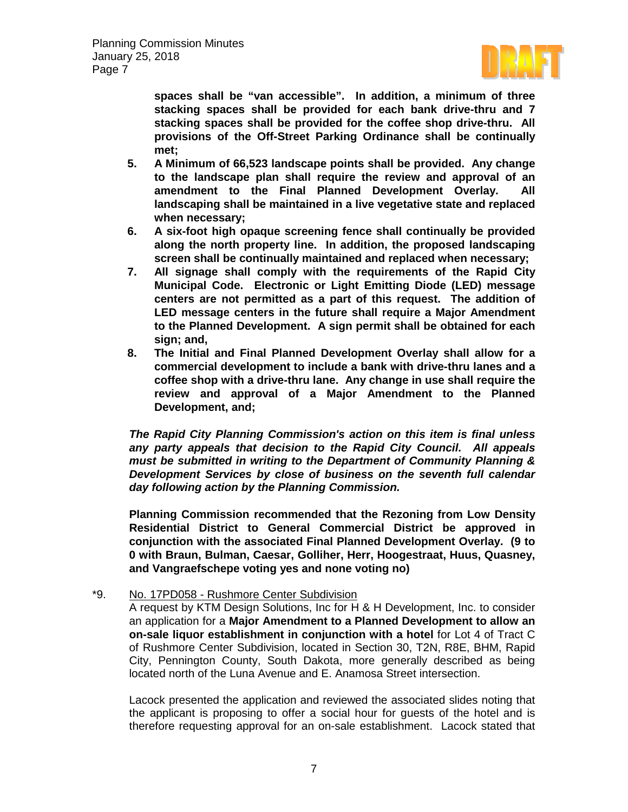

**spaces shall be "van accessible". In addition, a minimum of three stacking spaces shall be provided for each bank drive-thru and 7 stacking spaces shall be provided for the coffee shop drive-thru. All provisions of the Off-Street Parking Ordinance shall be continually met;**

- **5. A Minimum of 66,523 landscape points shall be provided. Any change to the landscape plan shall require the review and approval of an amendment to the Final Planned Development Overlay. All landscaping shall be maintained in a live vegetative state and replaced when necessary;**
- **6. A six-foot high opaque screening fence shall continually be provided along the north property line. In addition, the proposed landscaping screen shall be continually maintained and replaced when necessary;**
- **7. All signage shall comply with the requirements of the Rapid City Municipal Code. Electronic or Light Emitting Diode (LED) message centers are not permitted as a part of this request. The addition of LED message centers in the future shall require a Major Amendment to the Planned Development. A sign permit shall be obtained for each sign; and,**
- **8. The Initial and Final Planned Development Overlay shall allow for a commercial development to include a bank with drive-thru lanes and a coffee shop with a drive-thru lane. Any change in use shall require the review and approval of a Major Amendment to the Planned Development, and;**

*The Rapid City Planning Commission's action on this item is final unless any party appeals that decision to the Rapid City Council. All appeals must be submitted in writing to the Department of Community Planning & Development Services by close of business on the seventh full calendar day following action by the Planning Commission.*

**Planning Commission recommended that the Rezoning from Low Density Residential District to General Commercial District be approved in conjunction with the associated Final Planned Development Overlay. (9 to 0 with Braun, Bulman, Caesar, Golliher, Herr, Hoogestraat, Huus, Quasney, and Vangraefschepe voting yes and none voting no)**

# \*9. No. 17PD058 - Rushmore Center Subdivision

A request by KTM Design Solutions, Inc for H & H Development, Inc. to consider an application for a **Major Amendment to a Planned Development to allow an on-sale liquor establishment in conjunction with a hotel** for Lot 4 of Tract C of Rushmore Center Subdivision, located in Section 30, T2N, R8E, BHM, Rapid City, Pennington County, South Dakota, more generally described as being located north of the Luna Avenue and E. Anamosa Street intersection.

Lacock presented the application and reviewed the associated slides noting that the applicant is proposing to offer a social hour for guests of the hotel and is therefore requesting approval for an on-sale establishment. Lacock stated that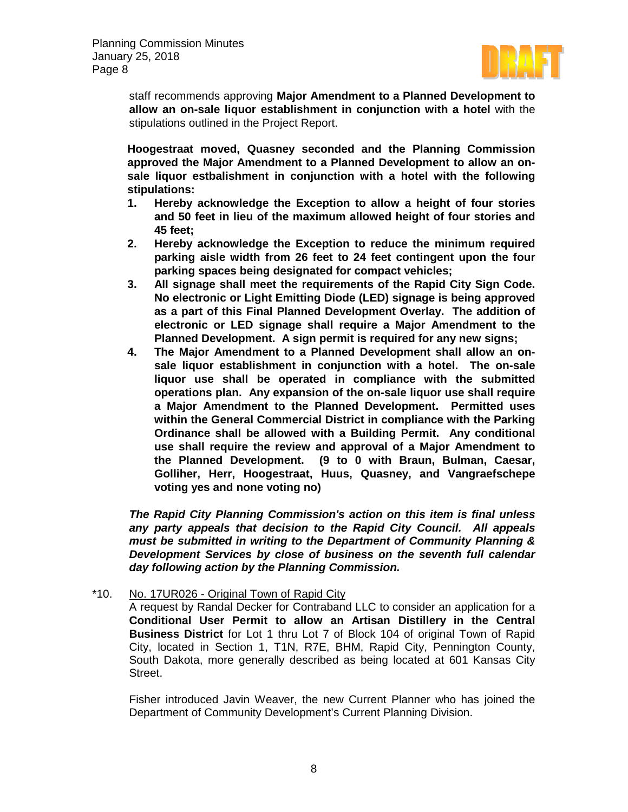

staff recommends approving **Major Amendment to a Planned Development to allow an on-sale liquor establishment in conjunction with a hotel** with the stipulations outlined in the Project Report.

**Hoogestraat moved, Quasney seconded and the Planning Commission approved the Major Amendment to a Planned Development to allow an onsale liquor estbalishment in conjunction with a hotel with the following stipulations:**

- **1. Hereby acknowledge the Exception to allow a height of four stories and 50 feet in lieu of the maximum allowed height of four stories and 45 feet;**
- **2. Hereby acknowledge the Exception to reduce the minimum required parking aisle width from 26 feet to 24 feet contingent upon the four parking spaces being designated for compact vehicles;**
- **3. All signage shall meet the requirements of the Rapid City Sign Code. No electronic or Light Emitting Diode (LED) signage is being approved as a part of this Final Planned Development Overlay. The addition of electronic or LED signage shall require a Major Amendment to the Planned Development. A sign permit is required for any new signs;**
- **4. The Major Amendment to a Planned Development shall allow an onsale liquor establishment in conjunction with a hotel. The on-sale liquor use shall be operated in compliance with the submitted operations plan. Any expansion of the on-sale liquor use shall require a Major Amendment to the Planned Development. Permitted uses within the General Commercial District in compliance with the Parking Ordinance shall be allowed with a Building Permit. Any conditional use shall require the review and approval of a Major Amendment to the Planned Development. (9 to 0 with Braun, Bulman, Caesar, Golliher, Herr, Hoogestraat, Huus, Quasney, and Vangraefschepe voting yes and none voting no)**

*The Rapid City Planning Commission's action on this item is final unless any party appeals that decision to the Rapid City Council. All appeals must be submitted in writing to the Department of Community Planning & Development Services by close of business on the seventh full calendar day following action by the Planning Commission.*

# \*10. No. 17UR026 - Original Town of Rapid City

A request by Randal Decker for Contraband LLC to consider an application for a **Conditional User Permit to allow an Artisan Distillery in the Central Business District** for Lot 1 thru Lot 7 of Block 104 of original Town of Rapid City, located in Section 1, T1N, R7E, BHM, Rapid City, Pennington County, South Dakota, more generally described as being located at 601 Kansas City Street.

Fisher introduced Javin Weaver, the new Current Planner who has joined the Department of Community Development's Current Planning Division.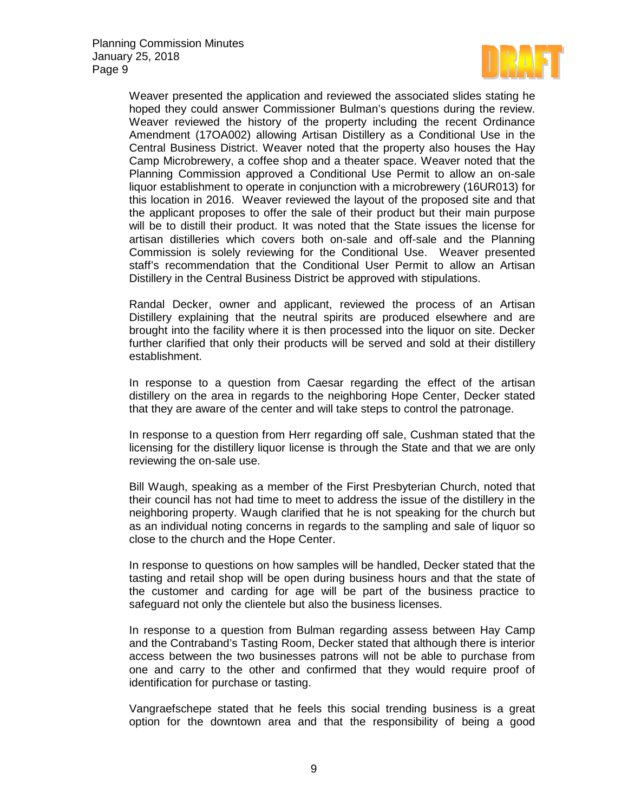

Weaver presented the application and reviewed the associated slides stating he hoped they could answer Commissioner Bulman's questions during the review. Weaver reviewed the history of the property including the recent Ordinance Amendment (17OA002) allowing Artisan Distillery as a Conditional Use in the Central Business District. Weaver noted that the property also houses the Hay Camp Microbrewery, a coffee shop and a theater space. Weaver noted that the Planning Commission approved a Conditional Use Permit to allow an on-sale liquor establishment to operate in conjunction with a microbrewery (16UR013) for this location in 2016. Weaver reviewed the layout of the proposed site and that the applicant proposes to offer the sale of their product but their main purpose will be to distill their product. It was noted that the State issues the license for artisan distilleries which covers both on-sale and off-sale and the Planning Commission is solely reviewing for the Conditional Use. Weaver presented staff's recommendation that the Conditional User Permit to allow an Artisan Distillery in the Central Business District be approved with stipulations.

Randal Decker, owner and applicant, reviewed the process of an Artisan Distillery explaining that the neutral spirits are produced elsewhere and are brought into the facility where it is then processed into the liquor on site. Decker further clarified that only their products will be served and sold at their distillery establishment.

In response to a question from Caesar regarding the effect of the artisan distillery on the area in regards to the neighboring Hope Center, Decker stated that they are aware of the center and will take steps to control the patronage.

In response to a question from Herr regarding off sale, Cushman stated that the licensing for the distillery liquor license is through the State and that we are only reviewing the on-sale use.

Bill Waugh, speaking as a member of the First Presbyterian Church, noted that their council has not had time to meet to address the issue of the distillery in the neighboring property. Waugh clarified that he is not speaking for the church but as an individual noting concerns in regards to the sampling and sale of liquor so close to the church and the Hope Center.

In response to questions on how samples will be handled, Decker stated that the tasting and retail shop will be open during business hours and that the state of the customer and carding for age will be part of the business practice to safeguard not only the clientele but also the business licenses.

In response to a question from Bulman regarding assess between Hay Camp and the Contraband's Tasting Room, Decker stated that although there is interior access between the two businesses patrons will not be able to purchase from one and carry to the other and confirmed that they would require proof of identification for purchase or tasting.

Vangraefschepe stated that he feels this social trending business is a great option for the downtown area and that the responsibility of being a good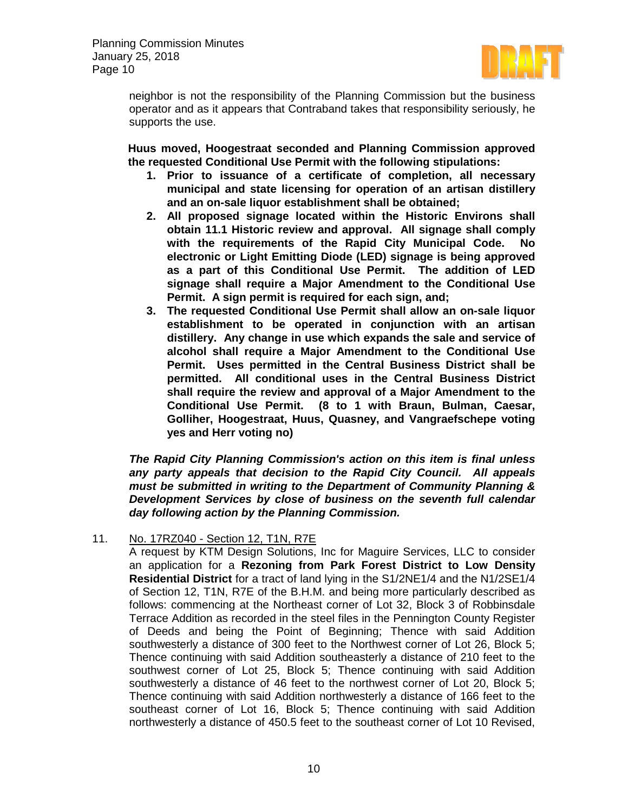

neighbor is not the responsibility of the Planning Commission but the business operator and as it appears that Contraband takes that responsibility seriously, he supports the use.

**Huus moved, Hoogestraat seconded and Planning Commission approved the requested Conditional Use Permit with the following stipulations:**

- **1. Prior to issuance of a certificate of completion, all necessary municipal and state licensing for operation of an artisan distillery and an on-sale liquor establishment shall be obtained;**
- **2. All proposed signage located within the Historic Environs shall obtain 11.1 Historic review and approval. All signage shall comply with the requirements of the Rapid City Municipal Code. No electronic or Light Emitting Diode (LED) signage is being approved as a part of this Conditional Use Permit. The addition of LED signage shall require a Major Amendment to the Conditional Use Permit. A sign permit is required for each sign, and;**
- **3. The requested Conditional Use Permit shall allow an on-sale liquor establishment to be operated in conjunction with an artisan distillery. Any change in use which expands the sale and service of alcohol shall require a Major Amendment to the Conditional Use Permit. Uses permitted in the Central Business District shall be permitted. All conditional uses in the Central Business District shall require the review and approval of a Major Amendment to the Conditional Use Permit. (8 to 1 with Braun, Bulman, Caesar, Golliher, Hoogestraat, Huus, Quasney, and Vangraefschepe voting yes and Herr voting no)**

*The Rapid City Planning Commission's action on this item is final unless any party appeals that decision to the Rapid City Council. All appeals must be submitted in writing to the Department of Community Planning & Development Services by close of business on the seventh full calendar day following action by the Planning Commission.*

# 11. No. 17RZ040 - Section 12, T1N, R7E

A request by KTM Design Solutions, Inc for Maguire Services, LLC to consider an application for a **Rezoning from Park Forest District to Low Density Residential District** for a tract of land lying in the S1/2NE1/4 and the N1/2SE1/4 of Section 12, T1N, R7E of the B.H.M. and being more particularly described as follows: commencing at the Northeast corner of Lot 32, Block 3 of Robbinsdale Terrace Addition as recorded in the steel files in the Pennington County Register of Deeds and being the Point of Beginning; Thence with said Addition southwesterly a distance of 300 feet to the Northwest corner of Lot 26, Block 5; Thence continuing with said Addition southeasterly a distance of 210 feet to the southwest corner of Lot 25, Block 5; Thence continuing with said Addition southwesterly a distance of 46 feet to the northwest corner of Lot 20, Block 5; Thence continuing with said Addition northwesterly a distance of 166 feet to the southeast corner of Lot 16, Block 5; Thence continuing with said Addition northwesterly a distance of 450.5 feet to the southeast corner of Lot 10 Revised,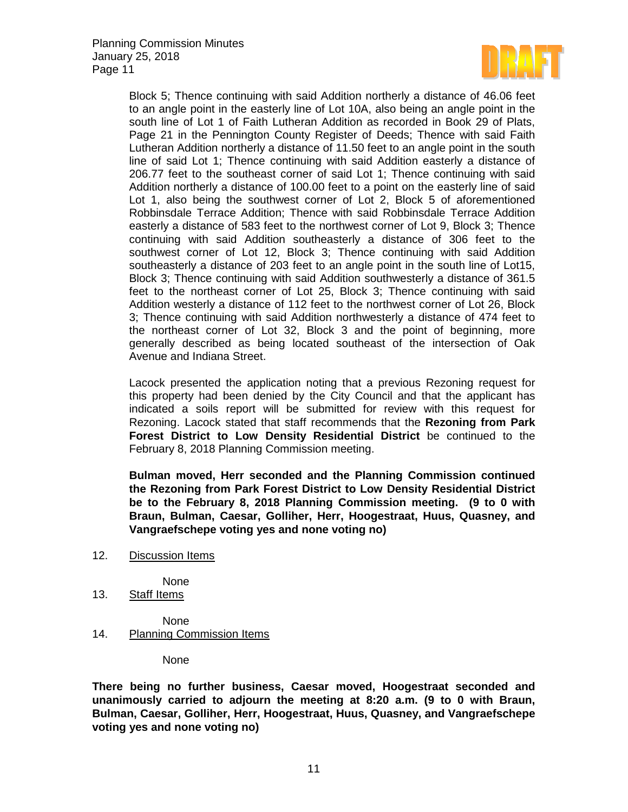

Block 5; Thence continuing with said Addition northerly a distance of 46.06 feet to an angle point in the easterly line of Lot 10A, also being an angle point in the south line of Lot 1 of Faith Lutheran Addition as recorded in Book 29 of Plats, Page 21 in the Pennington County Register of Deeds; Thence with said Faith Lutheran Addition northerly a distance of 11.50 feet to an angle point in the south line of said Lot 1; Thence continuing with said Addition easterly a distance of 206.77 feet to the southeast corner of said Lot 1; Thence continuing with said Addition northerly a distance of 100.00 feet to a point on the easterly line of said Lot 1, also being the southwest corner of Lot 2, Block 5 of aforementioned Robbinsdale Terrace Addition; Thence with said Robbinsdale Terrace Addition easterly a distance of 583 feet to the northwest corner of Lot 9, Block 3; Thence continuing with said Addition southeasterly a distance of 306 feet to the southwest corner of Lot 12, Block 3; Thence continuing with said Addition southeasterly a distance of 203 feet to an angle point in the south line of Lot15, Block 3; Thence continuing with said Addition southwesterly a distance of 361.5 feet to the northeast corner of Lot 25, Block 3; Thence continuing with said Addition westerly a distance of 112 feet to the northwest corner of Lot 26, Block 3; Thence continuing with said Addition northwesterly a distance of 474 feet to the northeast corner of Lot 32, Block 3 and the point of beginning, more generally described as being located southeast of the intersection of Oak Avenue and Indiana Street.

Lacock presented the application noting that a previous Rezoning request for this property had been denied by the City Council and that the applicant has indicated a soils report will be submitted for review with this request for Rezoning. Lacock stated that staff recommends that the **Rezoning from Park Forest District to Low Density Residential District** be continued to the February 8, 2018 Planning Commission meeting.

**Bulman moved, Herr seconded and the Planning Commission continued the Rezoning from Park Forest District to Low Density Residential District be to the February 8, 2018 Planning Commission meeting. (9 to 0 with Braun, Bulman, Caesar, Golliher, Herr, Hoogestraat, Huus, Quasney, and Vangraefschepe voting yes and none voting no)**

12. Discussion Items

None

13. Staff Items

None 14. Planning Commission Items

None

**There being no further business, Caesar moved, Hoogestraat seconded and unanimously carried to adjourn the meeting at 8:20 a.m. (9 to 0 with Braun, Bulman, Caesar, Golliher, Herr, Hoogestraat, Huus, Quasney, and Vangraefschepe voting yes and none voting no)**